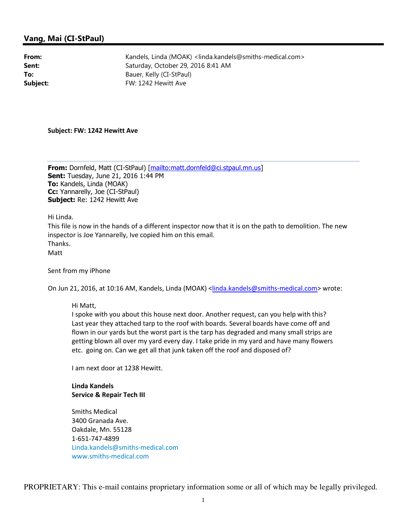## Vang, Mai (CI-StPaul)

From: Kandels, Linda (MOAK) <linda.kandels@smiths-medical.com> Sent: Saturday, October 29, 2016 8:41 AM To: Bauer, Kelly (CI-StPaul) Subject: FW: 1242 Hewitt Ave

Subject: FW: 1242 Hewitt Ave

From: Dornfeld, Matt (CI-StPaul) [mailto:matt.dornfeld@ci.stpaul.mn.us] **Sent: Tuesday, June 21, 2016 1:44 PM** To: Kandels, Linda (MOAK) Cc: Yannarelly, Joe (CI-StPaul) Subject: Re: 1242 Hewitt Ave

Hi Linda.

This file is now in the hands of a different inspector now that it is on the path to demolition. The new inspector is Joe Yannarelly, Ive copied him on this email. Thanks.

Matt

Sent from my iPhone

On Jun 21, 2016, at 10:16 AM, Kandels, Linda (MOAK) <linda.kandels@smiths-medical.com> wrote:

Hi Matt,

I spoke with you about this house next door. Another request, can you help with this? Last year they attached tarp to the roof with boards. Several boards have come off and flown in our yards but the worst part is the tarp has degraded and many small strips are getting blown all over my yard every day. I take pride in my yard and have many flowers etc. going on. Can we get all that junk taken off the roof and disposed of?

I am next door at 1238 Hewitt.

Linda Kandels Service & Repair Tech III

Smiths Medical 3400 Granada Ave. Oakdale, Mn. 55128 1-651-747-4899 Linda.kandels@smiths-medical.com www.smiths-medical.com

PROPRIETARY: This e-mail contains proprietary information some or all of which may be legally privileged.